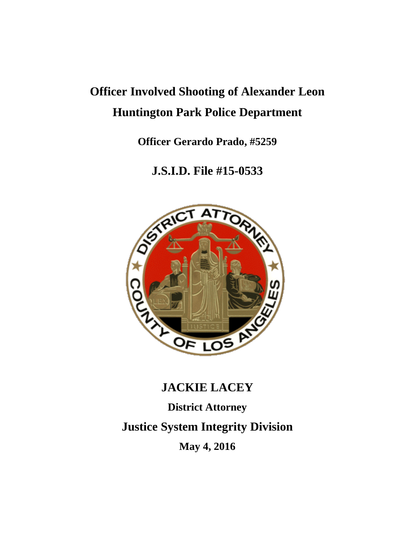# **Officer Involved Shooting of Alexander Leon Huntington Park Police Department**

**Officer Gerardo Prado, #5259**

**J.S.I.D. File #15-0533**



## **JACKIE LACEY**

**District Attorney**

**Justice System Integrity Division**

**May 4, 2016**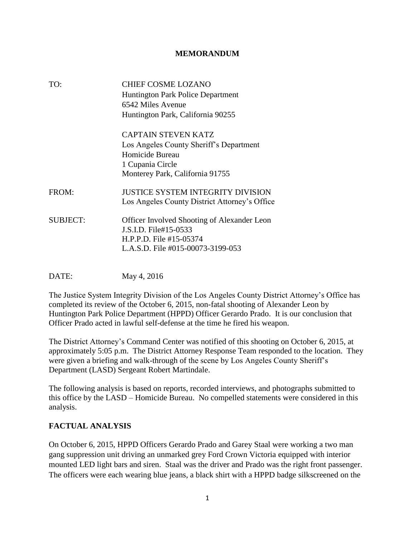#### **MEMORANDUM**

| TO:             | CHIEF COSME LOZANO<br><b>Huntington Park Police Department</b><br>6542 Miles Avenue<br>Huntington Park, California 90255                        |
|-----------------|-------------------------------------------------------------------------------------------------------------------------------------------------|
|                 | <b>CAPTAIN STEVEN KATZ</b><br>Los Angeles County Sheriff's Department<br>Homicide Bureau<br>1 Cupania Circle<br>Monterey Park, California 91755 |
| FROM:           | JUSTICE SYSTEM INTEGRITY DIVISION<br>Los Angeles County District Attorney's Office                                                              |
| <b>SUBJECT:</b> | <b>Officer Involved Shooting of Alexander Leon</b><br>J.S.I.D. File#15-0533<br>H.P.P.D. File #15-05374<br>L.A.S.D. File #015-00073-3199-053     |

DATE: May 4, 2016

The Justice System Integrity Division of the Los Angeles County District Attorney's Office has completed its review of the October 6, 2015, non-fatal shooting of Alexander Leon by Huntington Park Police Department (HPPD) Officer Gerardo Prado. It is our conclusion that Officer Prado acted in lawful self-defense at the time he fired his weapon.

The District Attorney's Command Center was notified of this shooting on October 6, 2015, at approximately 5:05 p.m. The District Attorney Response Team responded to the location. They were given a briefing and walk-through of the scene by Los Angeles County Sheriff's Department (LASD) Sergeant Robert Martindale.

The following analysis is based on reports, recorded interviews, and photographs submitted to this office by the LASD – Homicide Bureau. No compelled statements were considered in this analysis.

#### **FACTUAL ANALYSIS**

On October 6, 2015, HPPD Officers Gerardo Prado and Garey Staal were working a two man gang suppression unit driving an unmarked grey Ford Crown Victoria equipped with interior mounted LED light bars and siren. Staal was the driver and Prado was the right front passenger. The officers were each wearing blue jeans, a black shirt with a HPPD badge silkscreened on the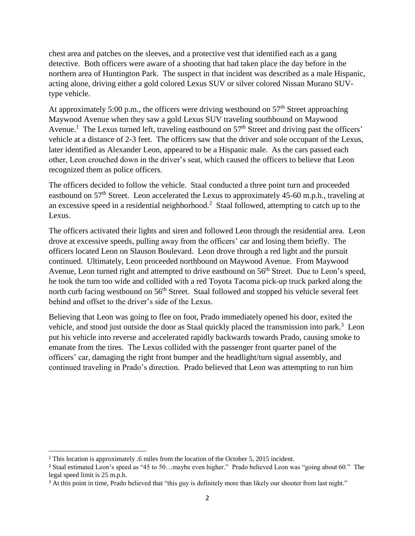chest area and patches on the sleeves, and a protective vest that identified each as a gang detective. Both officers were aware of a shooting that had taken place the day before in the northern area of Huntington Park. The suspect in that incident was described as a male Hispanic, acting alone, driving either a gold colored Lexus SUV or silver colored Nissan Murano SUVtype vehicle.

At approximately 5:00 p.m., the officers were driving westbound on  $57<sup>th</sup>$  Street approaching Maywood Avenue when they saw a gold Lexus SUV traveling southbound on Maywood Avenue.<sup>1</sup> The Lexus turned left, traveling eastbound on  $57<sup>th</sup>$  Street and driving past the officers' vehicle at a distance of 2-3 feet. The officers saw that the driver and sole occupant of the Lexus, later identified as Alexander Leon, appeared to be a Hispanic male. As the cars passed each other, Leon crouched down in the driver's seat, which caused the officers to believe that Leon recognized them as police officers.

The officers decided to follow the vehicle. Staal conducted a three point turn and proceeded eastbound on 57<sup>th</sup> Street. Leon accelerated the Lexus to approximately 45-60 m.p.h., traveling at an excessive speed in a residential neighborhood.<sup>2</sup> Staal followed, attempting to catch up to the Lexus.

The officers activated their lights and siren and followed Leon through the residential area. Leon drove at excessive speeds, pulling away from the officers' car and losing them briefly. The officers located Leon on Slauson Boulevard. Leon drove through a red light and the pursuit continued. Ultimately, Leon proceeded northbound on Maywood Avenue. From Maywood Avenue, Leon turned right and attempted to drive eastbound on 56<sup>th</sup> Street. Due to Leon's speed, he took the turn too wide and collided with a red Toyota Tacoma pick-up truck parked along the north curb facing westbound on 56<sup>th</sup> Street. Staal followed and stopped his vehicle several feet behind and offset to the driver's side of the Lexus.

Believing that Leon was going to flee on foot, Prado immediately opened his door, exited the vehicle, and stood just outside the door as Staal quickly placed the transmission into park.<sup>3</sup> Leon put his vehicle into reverse and accelerated rapidly backwards towards Prado, causing smoke to emanate from the tires. The Lexus collided with the passenger front quarter panel of the officers' car, damaging the right front bumper and the headlight/turn signal assembly, and continued traveling in Prado's direction. Prado believed that Leon was attempting to run him

 $\overline{\phantom{a}}$ 

<sup>&</sup>lt;sup>1</sup> This location is approximately .6 miles from the location of the October 5, 2015 incident.

<sup>&</sup>lt;sup>2</sup> Staal estimated Leon's speed as "45 to 50...maybe even higher." Prado believed Leon was "going about 60." The legal speed limit is 25 m.p.h.

<sup>&</sup>lt;sup>3</sup> At this point in time, Prado believed that "this guy is definitely more than likely our shooter from last night."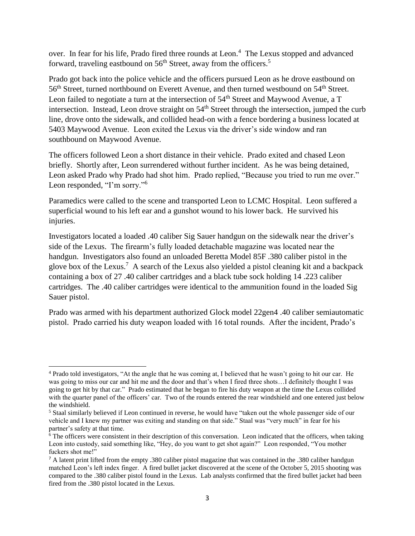over. In fear for his life, Prado fired three rounds at Leon. 4 The Lexus stopped and advanced forward, traveling eastbound on  $56<sup>th</sup>$  Street, away from the officers.<sup>5</sup>

Prado got back into the police vehicle and the officers pursued Leon as he drove eastbound on 56<sup>th</sup> Street, turned northbound on Everett Avenue, and then turned westbound on 54<sup>th</sup> Street. Leon failed to negotiate a turn at the intersection of 54<sup>th</sup> Street and Maywood Avenue, a T intersection. Instead, Leon drove straight on  $54<sup>th</sup>$  Street through the intersection, jumped the curb line, drove onto the sidewalk, and collided head-on with a fence bordering a business located at 5403 Maywood Avenue. Leon exited the Lexus via the driver's side window and ran southbound on Maywood Avenue.

The officers followed Leon a short distance in their vehicle. Prado exited and chased Leon briefly. Shortly after, Leon surrendered without further incident. As he was being detained, Leon asked Prado why Prado had shot him. Prado replied, "Because you tried to run me over." Leon responded, "I'm sorry."<sup>6</sup>

Paramedics were called to the scene and transported Leon to LCMC Hospital. Leon suffered a superficial wound to his left ear and a gunshot wound to his lower back. He survived his injuries.

Investigators located a loaded .40 caliber Sig Sauer handgun on the sidewalk near the driver's side of the Lexus. The firearm's fully loaded detachable magazine was located near the handgun. Investigators also found an unloaded Beretta Model 85F .380 caliber pistol in the glove box of the Lexus.<sup>7</sup> A search of the Lexus also yielded a pistol cleaning kit and a backpack containing a box of 27 .40 caliber cartridges and a black tube sock holding 14 .223 caliber cartridges. The .40 caliber cartridges were identical to the ammunition found in the loaded Sig Sauer pistol.

Prado was armed with his department authorized Glock model 22gen4 .40 caliber semiautomatic pistol. Prado carried his duty weapon loaded with 16 total rounds. After the incident, Prado's

 $\overline{\phantom{a}}$ <sup>4</sup> Prado told investigators, "At the angle that he was coming at, I believed that he wasn't going to hit our car. He was going to miss our car and hit me and the door and that's when I fired three shots...I definitely thought I was going to get hit by that car." Prado estimated that he began to fire his duty weapon at the time the Lexus collided with the quarter panel of the officers' car. Two of the rounds entered the rear windshield and one entered just below the windshield.

<sup>5</sup> Staal similarly believed if Leon continued in reverse, he would have "taken out the whole passenger side of our vehicle and I knew my partner was exiting and standing on that side." Staal was "very much" in fear for his partner's safety at that time.

 $\overline{6}$  The officers were consistent in their description of this conversation. Leon indicated that the officers, when taking Leon into custody, said something like, "Hey, do you want to get shot again?" Leon responded, "You mother fuckers shot me!"

<sup>7</sup> A latent print lifted from the empty .380 caliber pistol magazine that was contained in the .380 caliber handgun matched Leon's left index finger. A fired bullet jacket discovered at the scene of the October 5, 2015 shooting was compared to the .380 caliber pistol found in the Lexus. Lab analysts confirmed that the fired bullet jacket had been fired from the .380 pistol located in the Lexus.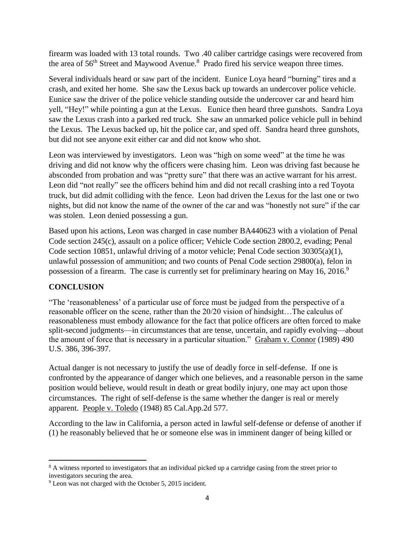firearm was loaded with 13 total rounds. Two .40 caliber cartridge casings were recovered from the area of  $56<sup>th</sup>$  Street and Maywood Avenue.<sup>8</sup> Prado fired his service weapon three times.

Several individuals heard or saw part of the incident. Eunice Loya heard "burning" tires and a crash, and exited her home. She saw the Lexus back up towards an undercover police vehicle. Eunice saw the driver of the police vehicle standing outside the undercover car and heard him yell, "Hey!" while pointing a gun at the Lexus. Eunice then heard three gunshots. Sandra Loya saw the Lexus crash into a parked red truck. She saw an unmarked police vehicle pull in behind the Lexus. The Lexus backed up, hit the police car, and sped off. Sandra heard three gunshots, but did not see anyone exit either car and did not know who shot.

Leon was interviewed by investigators. Leon was "high on some weed" at the time he was driving and did not know why the officers were chasing him. Leon was driving fast because he absconded from probation and was "pretty sure" that there was an active warrant for his arrest. Leon did "not really" see the officers behind him and did not recall crashing into a red Toyota truck, but did admit colliding with the fence. Leon had driven the Lexus for the last one or two nights, but did not know the name of the owner of the car and was "honestly not sure" if the car was stolen. Leon denied possessing a gun.

Based upon his actions, Leon was charged in case number BA440623 with a violation of Penal Code section 245(c), assault on a police officer; Vehicle Code section 2800.2, evading; Penal Code section 10851, unlawful driving of a motor vehicle; Penal Code section 30305(a)(1), unlawful possession of ammunition; and two counts of Penal Code section 29800(a), felon in possession of a firearm. The case is currently set for preliminary hearing on May 16, 2016.<sup>9</sup>

### **CONCLUSION**

"The 'reasonableness' of a particular use of force must be judged from the perspective of a reasonable officer on the scene, rather than the 20/20 vision of hindsight…The calculus of reasonableness must embody allowance for the fact that police officers are often forced to make split-second judgments—in circumstances that are tense, uncertain, and rapidly evolving—about the amount of force that is necessary in a particular situation." Graham v. Connor (1989) 490 U.S. 386, 396-397.

Actual danger is not necessary to justify the use of deadly force in self-defense. If one is confronted by the appearance of danger which one believes, and a reasonable person in the same position would believe, would result in death or great bodily injury, one may act upon those circumstances. The right of self-defense is the same whether the danger is real or merely apparent. People v. Toledo (1948) 85 Cal.App.2d 577.

According to the law in California, a person acted in lawful self-defense or defense of another if (1) he reasonably believed that he or someone else was in imminent danger of being killed or

 $\overline{\phantom{a}}$ <sup>8</sup> A witness reported to investigators that an individual picked up a cartridge casing from the street prior to investigators securing the area.

<sup>&</sup>lt;sup>9</sup> Leon was not charged with the October 5, 2015 incident.